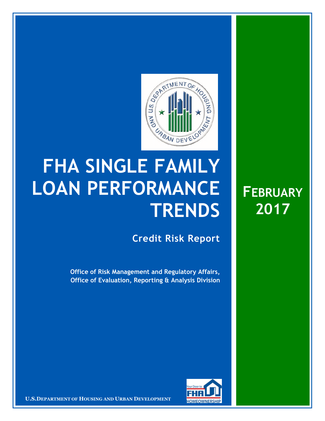

## **FHA SINGLE FAMILY LOAN PERFORMANCE TRENDS**

**Credit Risk Report**

**FEBRUARY**

**2017** 

**Office of Risk Management and Regulatory Affairs, Office of Evaluation, Reporting & Analysis Division** 



16 March 20171 **Confidential| For Internal Use Only** 1 **U.S.DEPARTMENT OF HOUSING AND URBAN DEVELOPMENT**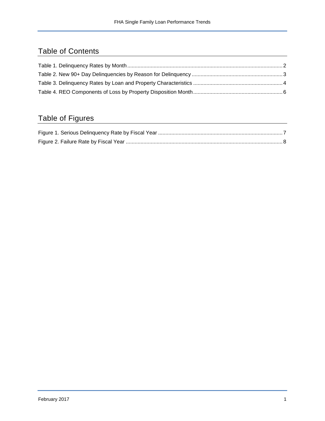## Table of Contents

## Table of Figures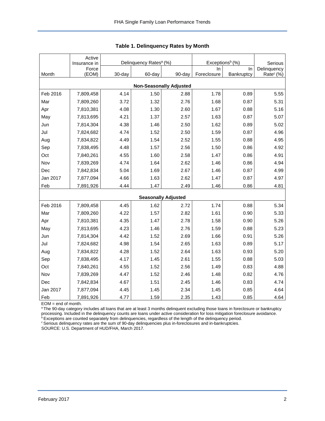|                                | Active<br>Insurance in | Delinquency Rates <sup>a</sup> (%) |        |                            | Exceptions <sup>b</sup> (%) | Serious    |                       |  |  |  |  |  |
|--------------------------------|------------------------|------------------------------------|--------|----------------------------|-----------------------------|------------|-----------------------|--|--|--|--|--|
|                                | Force                  |                                    |        |                            | In.                         | In         | Delinquency           |  |  |  |  |  |
| Month                          | (EOM)                  | 30-day                             | 60-day | 90-day                     | Foreclosure                 | Bankruptcy | Rate <sup>c</sup> (%) |  |  |  |  |  |
| <b>Non-Seasonally Adjusted</b> |                        |                                    |        |                            |                             |            |                       |  |  |  |  |  |
| Feb 2016                       | 7,809,458              | 4.14                               | 1.50   | 2.88                       | 1.78                        | 0.89       | 5.55                  |  |  |  |  |  |
| Mar                            | 7,809,260              | 3.72                               | 1.32   | 2.76                       | 1.68                        | 0.87       | 5.31                  |  |  |  |  |  |
| Apr                            | 7,810,381              | 4.08                               | 1.30   | 2.60                       | 1.67                        | 0.88       | 5.16                  |  |  |  |  |  |
| May                            | 7,813,695              | 4.21                               | 1.37   | 2.57                       | 1.63                        | 0.87       | 5.07                  |  |  |  |  |  |
| Jun                            | 7,814,304              | 4.38                               | 1.46   | 2.50                       | 1.62                        | 0.89       | 5.02                  |  |  |  |  |  |
| Jul                            | 7,824,682              | 4.74                               | 1.52   | 2.50                       | 1.59                        | 0.87       | 4.96                  |  |  |  |  |  |
| Aug                            | 7,834,822              | 4.49                               | 1.54   | 2.52                       | 1.55                        | 0.88       | 4.95                  |  |  |  |  |  |
| Sep                            | 7,838,495              | 4.48                               | 1.57   | 2.56                       | 1.50                        | 0.86       | 4.92                  |  |  |  |  |  |
| Oct                            | 7,840,261              | 4.55                               | 1.60   | 2.58                       | 1.47                        | 0.86       | 4.91                  |  |  |  |  |  |
| Nov                            | 7,839,269              | 4.74                               | 1.64   | 2.62                       | 1.46                        | 0.86       | 4.94                  |  |  |  |  |  |
| Dec                            | 7,842,834              | 5.04                               | 1.69   | 2.67                       | 1.46                        | 0.87       | 4.99                  |  |  |  |  |  |
| Jan 2017                       | 7,877,094              | 4.66                               | 1.63   | 2.62                       | 1.47                        | 0.87       | 4.97                  |  |  |  |  |  |
| Feb                            | 7,891,926              | 4.44                               | 1.47   | 2.49                       | 1.46                        | 0.86       | 4.81                  |  |  |  |  |  |
|                                |                        |                                    |        | <b>Seasonally Adjusted</b> |                             |            |                       |  |  |  |  |  |
| Feb 2016                       | 7,809,458              | 4.45                               | 1.62   | 2.72                       | 1.74                        | 0.88       | 5.34                  |  |  |  |  |  |
| Mar                            | 7,809,260              | 4.22                               | 1.57   | 2.82                       | 1.61                        | 0.90       | 5.33                  |  |  |  |  |  |
| Apr                            | 7,810,381              | 4.35                               | 1.47   | 2.78                       | 1.58                        | 0.90       | 5.26                  |  |  |  |  |  |
| May                            | 7,813,695              | 4.23                               | 1.46   | 2.76                       | 1.59                        | 0.88       | 5.23                  |  |  |  |  |  |
| Jun                            | 7,814,304              | 4.42                               | 1.52   | 2.69                       | 1.66                        | 0.91       | 5.26                  |  |  |  |  |  |
| Jul                            | 7,824,682              | 4.98                               | 1.54   | 2.65                       | 1.63                        | 0.89       | 5.17                  |  |  |  |  |  |
| Aug                            | 7,834,822              | 4.28                               | 1.52   | 2.64                       | 1.63                        | 0.93       | 5.20                  |  |  |  |  |  |
| Sep                            | 7,838,495              | 4.17                               | 1.45   | 2.61                       | 1.55                        | 0.88       | 5.03                  |  |  |  |  |  |
| Oct                            | 7,840,261              | 4.55                               | 1.52   | 2.56                       | 1.49                        | 0.83       | 4.88                  |  |  |  |  |  |
| Nov                            | 7,839,269              | 4.47                               | 1.52   | 2.46                       | 1.48                        | 0.82       | 4.76                  |  |  |  |  |  |
| Dec                            | 7,842,834              | 4.67                               | 1.51   | 2.45                       | 1.46                        | 0.83       | 4.74                  |  |  |  |  |  |
| Jan 2017                       | 7,877,094              | 4.45                               | 1.45   | 2.34                       | 1.45                        | 0.85       | 4.64                  |  |  |  |  |  |
| Feb                            | 7,891,926              | 4.77                               | 1.59   | 2.35                       | 1.43                        | 0.85       | 4.64                  |  |  |  |  |  |

<span id="page-2-0"></span>

EOM = end of month.

<sup>a</sup>The 90-day category includes all loans that are at least 3 months delinquent excluding those loans in foreclosure or bankruptcy processing. Included in the delinquency counts are loans under active consideration for loss mitigation foreclosure avoidance.

<sup>b</sup> Exceptions are counted separately from delinquencies, regardless of the length of the delinquency period.

<sup>c</sup> Serious delinquency rates are the sum of 90-day delinquencies plus in-foreclosures and in-bankruptcies.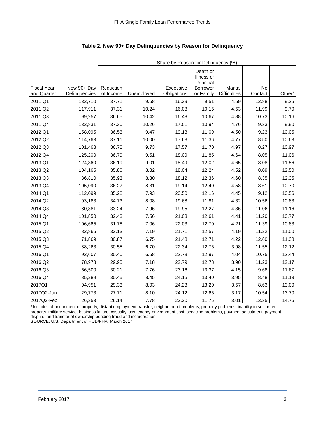<span id="page-3-0"></span>

|                    |               | Share by Reason for Delinquency (%) |            |             |                                                        |                     |         |                    |  |  |  |
|--------------------|---------------|-------------------------------------|------------|-------------|--------------------------------------------------------|---------------------|---------|--------------------|--|--|--|
| <b>Fiscal Year</b> | New 90+ Day   | Reduction                           |            | Excessive   | Death or<br>Illness of<br>Principal<br><b>Borrower</b> | Marital             | No      |                    |  |  |  |
| and Quarter        | Delinquencies | of Income                           | Unemployed | Obligations | or Family                                              | <b>Difficulties</b> | Contact | Other <sup>a</sup> |  |  |  |
| 2011 Q1            | 133,710       | 37.71                               | 9.68       | 16.39       | 9.51                                                   | 4.59                | 12.88   | 9.25               |  |  |  |
| 2011 Q2            | 117,911       | 37.31                               | 10.24      | 16.08       | 10.15                                                  | 4.53                | 11.99   | 9.70               |  |  |  |
| 2011 Q3            | 99,257        | 36.65                               | 10.42      | 16.48       | 10.67                                                  | 4.88                | 10.73   | 10.16              |  |  |  |
| 2011 Q4            | 133,831       | 37.30                               | 10.26      | 17.51       | 10.94                                                  | 4.76                | 9.33    | 9.90               |  |  |  |
| 2012 Q1            | 158,095       | 36.53                               | 9.47       | 19.13       | 11.09                                                  | 4.50                | 9.23    | 10.05              |  |  |  |
| 2012 Q2            | 114,763       | 37.11                               | 10.00      | 17.63       | 11.36                                                  | 4.77                | 8.50    | 10.63              |  |  |  |
| 2012 Q3            | 101,468       | 36.78                               | 9.73       | 17.57       | 11.70                                                  | 4.97                | 8.27    | 10.97              |  |  |  |
| 2012 Q4            | 125,200       | 36.79                               | 9.51       | 18.09       | 11.85                                                  | 4.64                | 8.05    | 11.06              |  |  |  |
| 2013 Q1            | 124,360       | 36.19                               | 9.01       | 18.49       | 12.02                                                  | 4.65                | 8.08    | 11.56              |  |  |  |
| 2013 Q2            | 104,165       | 35.80                               | 8.82       | 18.04       | 12.24                                                  | 4.52                | 8.09    | 12.50              |  |  |  |
| 2013 Q3            | 86,810        | 35.93                               | 8.30       | 18.12       | 12.36                                                  | 4.60                | 8.35    | 12.35              |  |  |  |
| 2013 Q4            | 105,090       | 36.27                               | 8.31       | 19.14       | 12.40                                                  | 4.58                | 8.61    | 10.70              |  |  |  |
| 2014 Q1            | 112,099       | 35.28                               | 7.93       | 20.50       | 12.16                                                  | 4.45                | 9.12    | 10.56              |  |  |  |
| 2014 Q2            | 93,183        | 34.73                               | 8.08       | 19.68       | 11.81                                                  | 4.32                | 10.56   | 10.83              |  |  |  |
| 2014 Q3            | 80,881        | 33.24                               | 7.96       | 19.95       | 12.27                                                  | 4.36                | 11.06   | 11.16              |  |  |  |
| 2014 Q4            | 101,850       | 32.43                               | 7.56       | 21.03       | 12.61                                                  | 4.41                | 11.20   | 10.77              |  |  |  |
| 2015 Q1            | 106,665       | 31.78                               | 7.06       | 22.03       | 12.70                                                  | 4.21                | 11.39   | 10.83              |  |  |  |
| 2015 Q2            | 82,866        | 32.13                               | 7.19       | 21.71       | 12.57                                                  | 4.19                | 11.22   | 11.00              |  |  |  |
| 2015 Q3            | 71,869        | 30.87                               | 6.75       | 21.48       | 12.71                                                  | 4.22                | 12.60   | 11.38              |  |  |  |
| 2015 Q4            | 88,263        | 30.55                               | 6.70       | 22.34       | 12.76                                                  | 3.98                | 11.55   | 12.12              |  |  |  |
| 2016 Q1            | 92,607        | 30.40                               | 6.68       | 22.73       | 12.97                                                  | 4.04                | 10.75   | 12.44              |  |  |  |
| 2016 Q2            | 78,978        | 29.95                               | 7.18       | 22.79       | 12.78                                                  | 3.90                | 11.23   | 12.17              |  |  |  |
| 2016 Q3            | 66,500        | 30.21                               | 7.76       | 23.16       | 13.37                                                  | 4.15                | 9.68    | 11.67              |  |  |  |
| 2016 Q4            | 85,289        | 30.45                               | 8.45       | 24.15       | 13.40                                                  | 3.95                | 8.48    | 11.13              |  |  |  |
| 2017Q1             | 94,951        | 29.33                               | 8.03       | 24.23       | 13.20                                                  | 3.57                | 8.63    | 13.00              |  |  |  |
| 2017Q2-Jan         | 29,773        | 27.71                               | 8.10       | 24.12       | 12.66                                                  | 3.17                | 10.54   | 13.70              |  |  |  |
| 2017Q2-Feb         | 26,353        | 26.14                               | 7.78       | 23.20       | 11.76                                                  | 3.01                | 13.35   | 14.76              |  |  |  |

<span id="page-3-1"></span>**Table 2. New 90+ Day Delinquencies by Reason for Delinquency** 

a Includes abandonment of property, distant employment transfer, neighborhood problems, property problems, inability to sell or rent property, military service, business failure, casualty loss, energy-environment cost, servicing problems, payment adjustment, payment dispute, and transfer of ownership pending fraud and incarceration.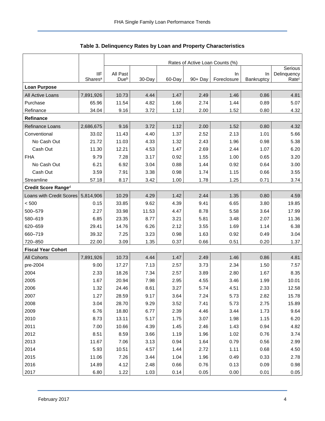<span id="page-4-0"></span>

|                           |                                   | Rates of Active Loan Counts (%) |        |        |         |                    |                  |                                  |  |  |
|---------------------------|-----------------------------------|---------------------------------|--------|--------|---------|--------------------|------------------|----------------------------------|--|--|
|                           |                                   |                                 |        |        |         |                    |                  | Serious                          |  |  |
|                           | <b>IIF</b><br>Shares <sup>a</sup> | All Past<br>Dueb                | 30-Day | 60-Day | 90+ Day | In.<br>Foreclosure | In<br>Bankruptcy | Delinquency<br>Rate <sup>c</sup> |  |  |
| <b>Loan Purpose</b>       |                                   |                                 |        |        |         |                    |                  |                                  |  |  |
| All Active Loans          | 7,891,926                         | 10.73                           | 4.44   | 1.47   | 2.49    | 1.46               | 0.86             | 4.81                             |  |  |
| Purchase                  | 65.96                             | 11.54                           | 4.82   | 1.66   | 2.74    | 1.44               | 0.89             | 5.07                             |  |  |
| Refinance                 | 34.04                             | 9.16                            | 3.72   | 1.12   | 2.00    | 1.52               | 0.80             | 4.32                             |  |  |
| Refinance                 |                                   |                                 |        |        |         |                    |                  |                                  |  |  |
| Refinance Loans           | 2,686,675                         | 9.16                            | 3.72   | 1.12   | 2.00    | 1.52               | 0.80             | 4.32                             |  |  |
| Conventional              | 33.02                             | 11.43                           | 4.40   | 1.37   | 2.52    | 2.13               | 1.01             | 5.66                             |  |  |
| No Cash Out               | 21.72                             | 11.03                           | 4.33   | 1.32   | 2.43    | 1.96               | 0.98             | 5.38                             |  |  |
| Cash Out                  | 11.30                             | 12.21                           | 4.53   | 1.47   | 2.69    | 2.44               | 1.07             | 6.20                             |  |  |
| <b>FHA</b>                | 9.79                              | 7.28                            | 3.17   | 0.92   | 1.55    | 1.00               | 0.65             | 3.20                             |  |  |
| No Cash Out               | 6.21                              | 6.92                            | 3.04   | 0.88   | 1.44    | 0.92               | 0.64             | 3.00                             |  |  |
| Cash Out                  | 3.59                              | 7.91                            | 3.38   | 0.98   | 1.74    | 1.15               | 0.66             | 3.55                             |  |  |
| Streamline                | 57.18                             | 8.17                            | 3.42   | 1.00   | 1.78    | 1.25               | 0.71             | 3.74                             |  |  |
| Credit Score Ranged       |                                   |                                 |        |        |         |                    |                  |                                  |  |  |
| Loans with Credit Scores  | 5,814,906                         | 10.29                           | 4.29   | 1.42   | 2.44    | 1.35               | 0.80             | 4.59                             |  |  |
| < 500                     | 0.15                              | 33.85                           | 9.62   | 4.39   | 9.41    | 6.65               | 3.80             | 19.85                            |  |  |
| 500-579                   | 2.27                              | 33.98                           | 11.53  | 4.47   | 8.78    | 5.58               | 3.64             | 17.99                            |  |  |
| 580-619                   | 6.85                              | 23.35                           | 8.77   | 3.21   | 5.81    | 3.48               | 2.07             | 11.36                            |  |  |
| 620-659                   | 29.41                             | 14.76                           | 6.26   | 2.12   | 3.55    | 1.69               | 1.14             | 6.38                             |  |  |
| 660-719                   | 39.32                             | 7.25                            | 3.23   | 0.98   | 1.63    | 0.92               | 0.49             | 3.04                             |  |  |
| 720-850                   | 22.00                             | 3.09                            | 1.35   | 0.37   | 0.66    | 0.51               | 0.20             | 1.37                             |  |  |
| <b>Fiscal Year Cohort</b> |                                   |                                 |        |        |         |                    |                  |                                  |  |  |
| <b>All Cohorts</b>        | 7,891,926                         | 10.73                           | 4.44   | 1.47   | 2.49    | 1.46               | 0.86             | 4.81                             |  |  |
| pre-2004                  | 9.00                              | 17.27                           | 7.13   | 2.57   | 3.73    | 2.34               | 1.50             | 7.57                             |  |  |
| 2004                      | 2.33                              | 18.26                           | 7.34   | 2.57   | 3.89    | 2.80               | 1.67             | 8.35                             |  |  |
| 2005                      | 1.67                              | 20.94                           | 7.98   | 2.95   | 4.55    | 3.46               | 1.99             | 10.01                            |  |  |
| 2006                      | 1.32                              | 24.46                           | 8.61   | 3.27   | 5.74    | 4.51               | 2.33             | 12.58                            |  |  |
| 2007                      | 1.27                              | 28.59                           | 9.17   | 3.64   | 7.24    | 5.73               | 2.82             | 15.78                            |  |  |
| 2008                      | 3.04                              | 28.70                           | 9.29   | 3.52   | 7.41    | 5.73               | 2.75             | 15.89                            |  |  |
| 2009                      | 6.76                              | 18.80                           | 6.77   | 2.39   | 4.46    | 3.44               | 1.73             | 9.64                             |  |  |
| 2010                      | 8.73                              | 13.11                           | 5.17   | 1.75   | 3.07    | 1.98               | 1.15             | 6.20                             |  |  |
| 2011                      | 7.00                              | 10.66                           | 4.39   | 1.45   | 2.46    | 1.43               | 0.94             | 4.82                             |  |  |
| 2012                      | 8.51                              | 8.59                            | 3.66   | 1.19   | 1.96    | 1.02               | 0.76             | 3.74                             |  |  |
| 2013                      | 11.67                             | 7.06                            | 3.13   | 0.94   | 1.64    | 0.79               | 0.56             | 2.99                             |  |  |
| 2014                      | 5.93                              | 10.51                           | 4.57   | 1.44   | 2.72    | 1.11               | 0.68             | 4.50                             |  |  |
| 2015                      | 11.06                             | 7.26                            | 3.44   | 1.04   | 1.96    | 0.49               | 0.33             | 2.78                             |  |  |
| 2016                      | 14.89                             | 4.12                            | 2.48   | 0.66   | 0.76    | 0.13               | 0.09             | 0.98                             |  |  |
| 2017                      | 6.80                              | 1.22                            | 1.03   | 0.14   | 0.05    | 0.00               | 0.01             | 0.05                             |  |  |

<span id="page-4-1"></span>

| Table 3. Delinquency Rates by Loan and Property Characteristics |  |  |  |
|-----------------------------------------------------------------|--|--|--|
|-----------------------------------------------------------------|--|--|--|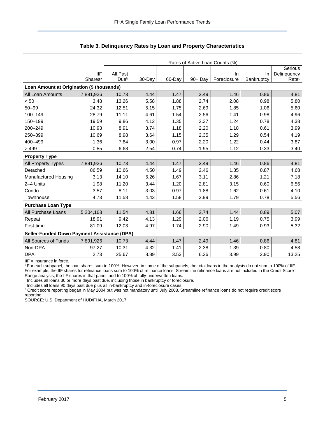|                                             |                     | Rates of Active Loan Counts (%) |        |        |            |             |            |                   |  |  |  |
|---------------------------------------------|---------------------|---------------------------------|--------|--------|------------|-------------|------------|-------------------|--|--|--|
|                                             |                     |                                 |        |        |            |             |            | Serious           |  |  |  |
|                                             | <b>IIF</b>          | All Past                        |        |        |            | In          | In         | Delinquency       |  |  |  |
|                                             | Shares <sup>a</sup> | Due <sup>b</sup>                | 30-Day | 60-Day | $90 + Day$ | Foreclosure | Bankruptcy | Rate <sup>c</sup> |  |  |  |
| Loan Amount at Origination (\$ thousands)   |                     |                                 |        |        |            |             |            |                   |  |  |  |
| All Loan Amounts                            | 7,891,926           | 10.73                           | 4.44   | 1.47   | 2.49       | 1.46        | 0.86       | 4.81              |  |  |  |
| < 50                                        | 3.48                | 13.26                           | 5.58   | 1.88   | 2.74       | 2.08        | 0.98       | 5.80              |  |  |  |
| $50 - 99$                                   | 24.32               | 12.51                           | 5.15   | 1.75   | 2.69       | 1.85        | 1.06       | 5.60              |  |  |  |
| 100-149                                     | 28.79               | 11.11                           | 4.61   | 1.54   | 2.56       | 1.41        | 0.98       | 4.96              |  |  |  |
| 150-199                                     | 19.59               | 9.86                            | 4.12   | 1.35   | 2.37       | 1.24        | 0.78       | 4.38              |  |  |  |
| 200-249                                     | 10.93               | 8.91                            | 3.74   | 1.18   | 2.20       | 1.18        | 0.61       | 3.99              |  |  |  |
| 250-399                                     | 10.69               | 8.98                            | 3.64   | 1.15   | 2.35       | 1.29        | 0.54       | 4.19              |  |  |  |
| 400-499                                     | 1.36                | 7.84                            | 3.00   | 0.97   | 2.20       | 1.22        | 0.44       | 3.87              |  |  |  |
| >499                                        | 0.85                | 6.68                            | 2.54   | 0.74   | 1.95       | 1.12        | 0.33       | 3.40              |  |  |  |
| <b>Property Type</b>                        |                     |                                 |        |        |            |             |            |                   |  |  |  |
| All Property Types                          | 7,891,926           | 10.73                           | 4.44   | 1.47   | 2.49       | 1.46        | 0.86       | 4.81              |  |  |  |
| Detached                                    | 86.59               | 10.66                           | 4.50   | 1.49   | 2.46       | 1.35        | 0.87       | 4.68              |  |  |  |
| Manufactured Housing                        | 3.13                | 14.10                           | 5.26   | 1.67   | 3.11       | 2.86        | 1.21       | 7.18              |  |  |  |
| 2-4 Units                                   | 1.98                | 11.20                           | 3.44   | 1.20   | 2.81       | 3.15        | 0.60       | 6.56              |  |  |  |
| Condo                                       | 3.57                | 8.11                            | 3.03   | 0.97   | 1.88       | 1.62        | 0.61       | 4.10              |  |  |  |
| Townhouse                                   | 4.73                | 11.58                           | 4.43   | 1.58   | 2.99       | 1.79        | 0.78       | 5.56              |  |  |  |
| <b>Purchase Loan Type</b>                   |                     |                                 |        |        |            |             |            |                   |  |  |  |
| All Purchase Loans                          | 5,204,168           | 11.54                           | 4.81   | 1.66   | 2.74       | 1.44        | 0.89       | 5.07              |  |  |  |
| Repeat                                      | 18.91               | 9.42                            | 4.13   | 1.29   | 2.06       | 1.19        | 0.75       | 3.99              |  |  |  |
| First-time                                  | 81.09               | 12.03                           | 4.97   | 1.74   | 2.90       | 1.49        | 0.93       | 5.32              |  |  |  |
| Seller-Funded Down Payment Assistance (DPA) |                     |                                 |        |        |            |             |            |                   |  |  |  |
| All Sources of Funds                        | 7,891,926           | 10.73                           | 4.44   | 1.47   | 2.49       | 1.46        | 0.86       | 4.81              |  |  |  |
| Non-DPA                                     | 97.27               | 10.31                           | 4.32   | 1.41   | 2.38       | 1.39        | 0.80       | 4.58              |  |  |  |
| <b>DPA</b>                                  | 2.73                | 25.67                           | 8.89   | 3.53   | 6.36       | 3.99        | 2.90       | 13.25             |  |  |  |

**Table 3. Delinquency Rates by Loan and Property Characteristics** 

IIF = insurance in force.

a For each subpanel, the loan shares sum to 100%. However, in some of the subpanels, the total loans in the analysis do not sum to 100% of IIF. For example, the IIF shares for refinance loans sum to 100% of refinance loans. Streamline refinance loans are not included in the Credit Score Range analysis; the IIF shares in that panel, add to 100% of fully-underwritten loans.

bincludes all loans 30 or more days past due, including those in bankruptcy or foreclosure.

<sup>c</sup> Includes all loans 90 days past due plus all in-bankruptcy and in-foreclosure cases.

<sup>d</sup> Credit score reporting began in May 2004 but was not mandatory until July 2008. Streamline refinance loans do not require credit score reporting.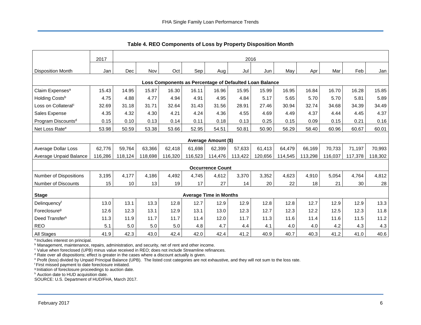<span id="page-6-0"></span>

|                                                         | 2017    |         | 2016    |         |         |                               |         |         |         |         |         |         |         |
|---------------------------------------------------------|---------|---------|---------|---------|---------|-------------------------------|---------|---------|---------|---------|---------|---------|---------|
| <b>Disposition Month</b>                                | Jan     | Dec     | Nov     | Oct     | Sep     | Aug                           | Jul     | Jun     | May     | Apr     | Mar     | Feb     | Jan     |
| Loss Components as Percentage of Defaulted Loan Balance |         |         |         |         |         |                               |         |         |         |         |         |         |         |
| Claim Expenses <sup>a</sup>                             | 15.43   | 14.95   | 15.87   | 16.30   | 16.11   | 16.96                         | 15.95   | 15.99   | 16.95   | 16.84   | 16.70   | 16.28   | 15.85   |
| Holding Costs <sup>b</sup>                              | 4.75    | 4.88    | 4.77    | 4.94    | 4.91    | 4.95                          | 4.84    | 5.17    | 5.65    | 5.70    | 5.70    | 5.81    | 5.89    |
| Loss on Collateral <sup>c</sup>                         | 32.69   | 31.18   | 31.71   | 32.64   | 31.43   | 31.56                         | 28.91   | 27.46   | 30.94   | 32.74   | 34.68   | 34.39   | 34.49   |
| Sales Expense                                           | 4.35    | 4.32    | 4.30    | 4.21    | 4.24    | 4.36                          | 4.55    | 4.69    | 4.49    | 4.37    | 4.44    | 4.45    | 4.37    |
| Program Discounts <sup>d</sup>                          | 0.15    | 0.10    | 0.13    | 0.14    | 0.11    | 0.18                          | 0.13    | 0.25    | 0.15    | 0.09    | 0.15    | 0.21    | 0.16    |
| Net Loss Rate <sup>e</sup>                              | 53.98   | 50.59   | 53.38   | 53.66   | 52.95   | 54.51                         | 50.81   | 50.90   | 56.29   | 58.40   | 60.96   | 60.67   | 60.01   |
|                                                         |         |         |         |         |         | Average Amount (\$)           |         |         |         |         |         |         |         |
| Average Dollar Loss                                     | 62,776  | 59,764  | 63,366  | 62,418  | 61,698  | 62,399                        | 57,633  | 61,413  | 64,479  | 66,169  | 70,733  | 71,197  | 70,993  |
| Average Unpaid Balance                                  | 116,286 | 118,124 | 118,698 | 116,320 | 116,523 | 114,476                       | 113,422 | 120,656 | 114,545 | 113,298 | 116,037 | 117,378 | 118,302 |
|                                                         |         |         |         |         |         | <b>Occurrence Count</b>       |         |         |         |         |         |         |         |
| Number of Dispositions                                  | 3,195   | 4,177   | 4,186   | 4,492   | 4,745   | 4,612                         | 3,370   | 3,352   | 4,623   | 4,910   | 5,054   | 4,764   | 4,812   |
| Number of Discounts                                     | 15      | 10      | 13      | 19      | 17      | 27                            | 14      | 20      | 22      | 18      | 21      | 30      | 28      |
| <b>Stage</b>                                            |         |         |         |         |         | <b>Average Time in Months</b> |         |         |         |         |         |         |         |
| Delinquencyf                                            | 13.0    | 13.1    | 13.3    | 12.8    | 12.7    | 12.9                          | 12.9    | 12.8    | 12.8    | 12.7    | 12.9    | 12.9    | 13.3    |
| Foreclosure <sup>g</sup>                                | 12.6    | 12.3    | 13.1    | 12.9    | 13.1    | 13.0                          | 12.3    | 12.7    | 12.3    | 12.2    | 12.5    | 12.3    | 11.8    |
| Deed Transferh                                          | 11.3    | 11.9    | 11.7    | 11.7    | 11.4    | 12.0                          | 11.7    | 11.3    | 11.6    | 11.4    | 11.6    | 11.5    | 11.2    |
| <b>REO</b>                                              | 5.1     | 5.0     | 5.0     | 5.0     | 4.8     | 4.7                           | 4.4     | 4.1     | 4.0     | 4.0     | 4.2     | 4.3     | 4.3     |
| All Stages                                              | 41.9    | 42.3    | 43.0    | 42.4    | 42.0    | 42.4                          | 41.2    | 40.9    | 40.7    | 40.3    | 41.2    | 41.0    | 40.6    |

**Table 4. REO Components of Loss by Property Disposition Month** 

<sup>a</sup> Includes interest on principal.

<sup>b</sup> Management, maintenance, repairs, administration, and security, net of rent and other income.

<sup>c</sup> Value when foreclosed (UPB) minus value received in REO; does not include Streamline refinances.

<sup>d</sup> Rate over all dispositions; effect is greater in the cases where a discount actually is given.

e Profit (loss) divided by Unpaid Principal Balance (UPB). The listed cost categories are not exhaustive, and they will not sum to the loss rate.

f First missed payment to date foreclosure initiated.

g Initiation of foreclosure proceedings to auction date.

h Auction date to HUD acquisition date.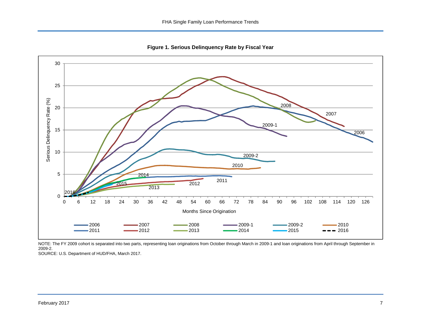<span id="page-7-0"></span>



NOTE: The FY 2009 cohort is separated into two parts, representing loan originations from October through March in 2009-1 and loan originations from April through September in 2009-2.